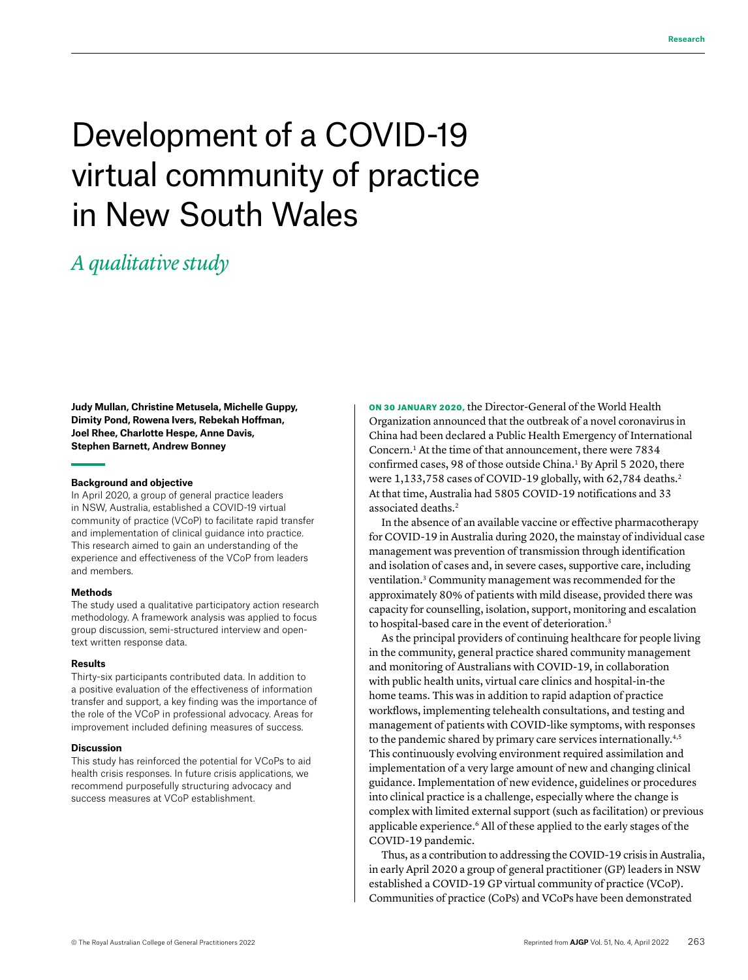# Development of a COVID-19 virtual community of practice in New South Wales

# *A qualitative study*

**Judy Mullan, Christine Metusela, Michelle Guppy, Dimity Pond, Rowena Ivers, Rebekah Hoffman, Joel Rhee, Charlotte Hespe, Anne Davis, Stephen Barnett, Andrew Bonney**

#### **Background and objective**

In April 2020, a group of general practice leaders in NSW, Australia, established a COVID-19 virtual community of practice (VCoP) to facilitate rapid transfer and implementation of clinical guidance into practice. This research aimed to gain an understanding of the experience and effectiveness of the VCoP from leaders and members.

#### **Methods**

The study used a qualitative participatory action research methodology. A framework analysis was applied to focus group discussion, semi-structured interview and opentext written response data.

#### **Results**

Thirty-six participants contributed data. In addition to a positive evaluation of the effectiveness of information transfer and support, a key finding was the importance of the role of the VCoP in professional advocacy. Areas for improvement included defining measures of success.

#### **Discussion**

This study has reinforced the potential for VCoPs to aid health crisis responses. In future crisis applications, we recommend purposefully structuring advocacy and success measures at VCoP establishment.

ON 30 JANUARY 2020, the Director-General of the World Health Organization announced that the outbreak of a novel coronavirus in China had been declared a Public Health Emergency of International Concern.1 At the time of that announcement, there were 7834 confirmed cases, 98 of those outside China.<sup>1</sup> By April 5 2020, there were 1,133,758 cases of COVID-19 globally, with 62,784 deaths.<sup>2</sup> At that time, Australia had 5805 COVID-19 notifications and 33 associated deaths.<sup>2</sup>

In the absence of an available vaccine or effective pharmacotherapy for COVID-19 in Australia during 2020, the mainstay of individual case management was prevention of transmission through identification and isolation of cases and, in severe cases, supportive care, including ventilation.3 Community management was recommended for the approximately 80% of patients with mild disease, provided there was capacity for counselling, isolation, support, monitoring and escalation to hospital-based care in the event of deterioration.<sup>3</sup>

As the principal providers of continuing healthcare for people living in the community, general practice shared community management and monitoring of Australians with COVID-19, in collaboration with public health units, virtual care clinics and hospital-in-the home teams. This was in addition to rapid adaption of practice workflows, implementing telehealth consultations, and testing and management of patients with COVID-like symptoms, with responses to the pandemic shared by primary care services internationally.<sup>4,5</sup> This continuously evolving environment required assimilation and implementation of a very large amount of new and changing clinical guidance. Implementation of new evidence, guidelines or procedures into clinical practice is a challenge, especially where the change is complex with limited external support (such as facilitation) or previous applicable experience.6 All of these applied to the early stages of the COVID-19 pandemic.

Thus, as a contribution to addressing the COVID-19 crisis in Australia, in early April 2020 a group of general practitioner (GP) leaders in NSW established a COVID-19 GP virtual community of practice (VCoP). Communities of practice (CoPs) and VCoPs have been demonstrated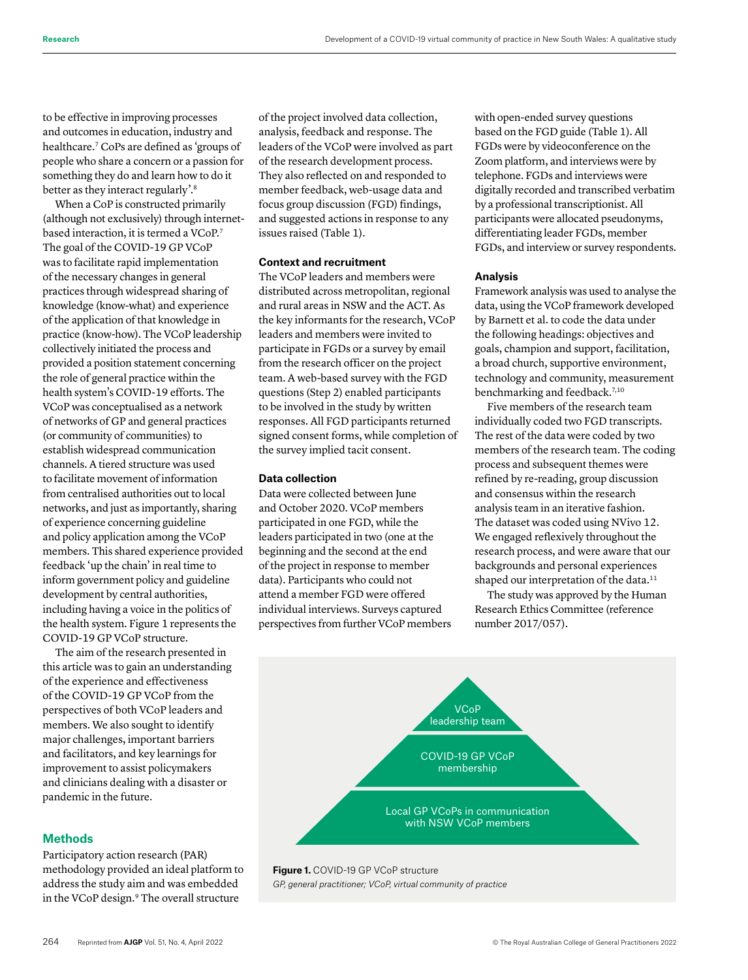to be effective in improving processes and outcomes in education, industry and healthcare.7 CoPs are defined as 'groups of people who share a concern or a passion for something they do and learn how to do it better as they interact regularly'.8

When a CoP is constructed primarily (although not exclusively) through internetbased interaction, it is termed a VCoP.<sup>7</sup> The goal of the COVID-19 GP VCoP was to facilitate rapid implementation of the necessary changes in general practices through widespread sharing of knowledge (know-what) and experience of the application of that knowledge in practice (know-how). The VCoP leadership collectively initiated the process and provided a position statement concerning the role of general practice within the health system's COVID-19 efforts. The VCoP was conceptualised as a network of networks of GP and general practices (or community of communities) to establish widespread communication channels. A tiered structure was used to facilitate movement of information from centralised authorities out to local networks, and just as importantly, sharing of experience concerning guideline and policy application among the VCoP members. This shared experience provided feedback 'up the chain' in real time to inform government policy and guideline development by central authorities, including having a voice in the politics of the health system. Figure 1 represents the COVID-19 GP VCoP structure.

The aim of the research presented in this article was to gain an understanding of the experience and effectiveness of the COVID-19 GP VCoP from the perspectives of both VCoP leaders and members. We also sought to identify major challenges, important barriers and facilitators, and key learnings for improvement to assist policymakers and clinicians dealing with a disaster or pandemic in the future.

# **Methods**

Participatory action research (PAR) methodology provided an ideal platform to address the study aim and was embedded in the VCoP design.<sup>9</sup> The overall structure

of the project involved data collection, analysis, feedback and response. The leaders of the VCoP were involved as part of the research development process. They also reflected on and responded to member feedback, web-usage data and focus group discussion (FGD) findings, and suggested actions in response to any issues raised (Table 1).

# **Context and recruitment**

The VCoP leaders and members were distributed across metropolitan, regional and rural areas in NSW and the ACT. As the key informants for the research, VCoP leaders and members were invited to participate in FGDs or a survey by email from the research officer on the project team. A web-based survey with the FGD questions (Step 2) enabled participants to be involved in the study by written responses. All FGD participants returned signed consent forms, while completion of the survey implied tacit consent.

# **Data collection**

Data were collected between June and October 2020. VCoP members participated in one FGD, while the leaders participated in two (one at the beginning and the second at the end of the project in response to member data). Participants who could not attend a member FGD were offered individual interviews. Surveys captured perspectives from further VCoP members with open-ended survey questions based on the FGD guide (Table 1). All FGDs were by videoconference on the Zoom platform, and interviews were by telephone. FGDs and interviews were digitally recorded and transcribed verbatim by a professional transcriptionist. All participants were allocated pseudonyms, differentiating leader FGDs, member FGDs, and interview or survey respondents.

### **Analysis**

Framework analysis was used to analyse the data, using the VCoP framework developed by Barnett et al. to code the data under the following headings: objectives and goals, champion and support, facilitation, a broad church, supportive environment, technology and community, measurement benchmarking and feedback.<sup>7,10</sup>

Five members of the research team individually coded two FGD transcripts. The rest of the data were coded by two members of the research team. The coding process and subsequent themes were refined by re-reading, group discussion and consensus within the research analysis team in an iterative fashion. The dataset was coded using NVivo 12. We engaged reflexively throughout the research process, and were aware that our backgrounds and personal experiences shaped our interpretation of the data.<sup>11</sup>

The study was approved by the Human Research Ethics Committee (reference number 2017/057).



*GP, general practitioner; VCoP, virtual community of practice*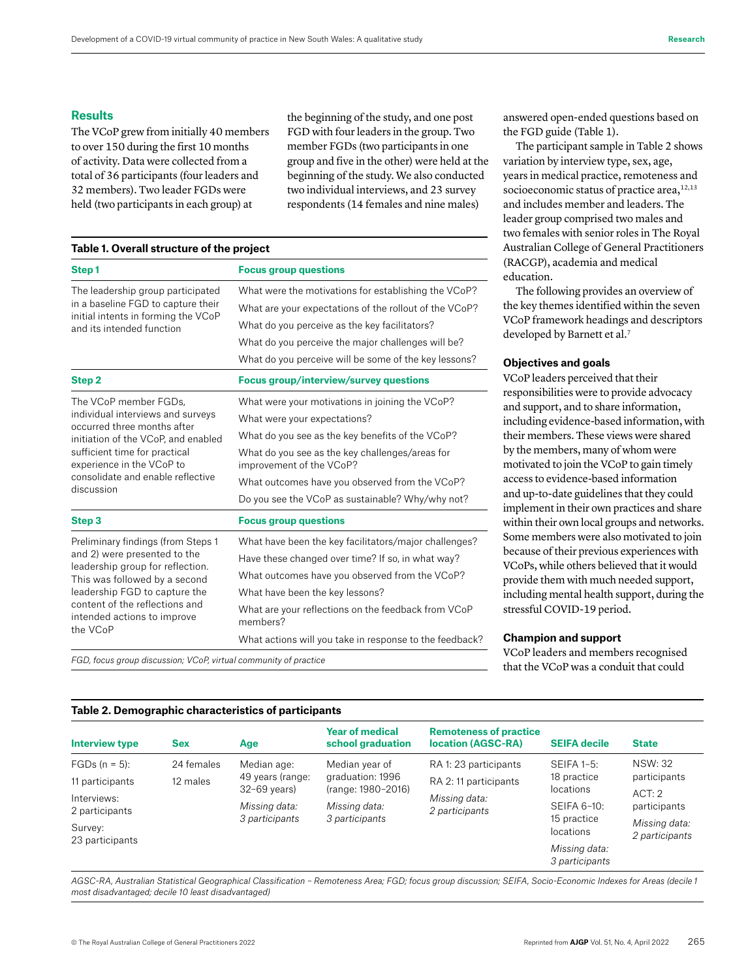### **Results**

The VCoP grew from initially 40 members to over 150 during the first 10 months of activity. Data were collected from a total of 36 participants (four leaders and 32 members). Two leader FGDs were held (two participants in each group) at

the beginning of the study, and one post FGD with four leaders in the group. Two member FGDs (two participants in one group and five in the other) were held at the beginning of the study. We also conducted two individual interviews, and 23 survey respondents (14 females and nine males)

| Table 1. Overall structure of the project |  |  |  |
|-------------------------------------------|--|--|--|
|-------------------------------------------|--|--|--|

| Step1                                                                                                                                                                                                           | <b>Focus group questions</b>                                                |  |  |  |
|-----------------------------------------------------------------------------------------------------------------------------------------------------------------------------------------------------------------|-----------------------------------------------------------------------------|--|--|--|
| The leadership group participated                                                                                                                                                                               | What were the motivations for establishing the VCoP?                        |  |  |  |
| in a baseline FGD to capture their<br>initial intents in forming the VCoP<br>and its intended function                                                                                                          | What are your expectations of the rollout of the VCoP?                      |  |  |  |
|                                                                                                                                                                                                                 | What do you perceive as the key facilitators?                               |  |  |  |
|                                                                                                                                                                                                                 | What do you perceive the major challenges will be?                          |  |  |  |
|                                                                                                                                                                                                                 | What do you perceive will be some of the key lessons?                       |  |  |  |
| Step <sub>2</sub>                                                                                                                                                                                               | <b>Focus group/interview/survey questions</b>                               |  |  |  |
| The VCoP member FGDs,                                                                                                                                                                                           | What were your motivations in joining the VCoP?                             |  |  |  |
| individual interviews and surveys<br>occurred three months after                                                                                                                                                | What were your expectations?                                                |  |  |  |
| initiation of the VCoP, and enabled                                                                                                                                                                             | What do you see as the key benefits of the VCoP?                            |  |  |  |
| sufficient time for practical<br>experience in the VCoP to<br>consolidate and enable reflective<br>discussion                                                                                                   | What do you see as the key challenges/areas for<br>improvement of the VCoP? |  |  |  |
|                                                                                                                                                                                                                 | What outcomes have you observed from the VCoP?                              |  |  |  |
|                                                                                                                                                                                                                 | Do you see the VCoP as sustainable? Why/why not?                            |  |  |  |
| Step 3                                                                                                                                                                                                          | <b>Focus group questions</b>                                                |  |  |  |
| Preliminary findings (from Steps 1                                                                                                                                                                              | What have been the key facilitators/major challenges?                       |  |  |  |
| and 2) were presented to the<br>leadership group for reflection.<br>This was followed by a second<br>leadership FGD to capture the<br>content of the reflections and<br>intended actions to improve<br>the VCoP | Have these changed over time? If so, in what way?                           |  |  |  |
|                                                                                                                                                                                                                 | What outcomes have you observed from the VCoP?                              |  |  |  |
|                                                                                                                                                                                                                 | What have been the key lessons?                                             |  |  |  |
|                                                                                                                                                                                                                 | What are your reflections on the feedback from VCoP<br>members?             |  |  |  |
|                                                                                                                                                                                                                 | What actions will you take in response to the feedback?                     |  |  |  |

*FGD, focus group discussion; VCoP, virtual community of practice*

answered open-ended questions based on the FGD guide (Table 1).

The participant sample in Table 2 shows variation by interview type, sex, age, years in medical practice, remoteness and socioeconomic status of practice area, $12,13$ and includes member and leaders. The leader group comprised two males and two females with senior roles in The Royal Australian College of General Practitioners (RACGP), academia and medical education.

The following provides an overview of the key themes identified within the seven VCoP framework headings and descriptors developed by Barnett et al.<sup>7</sup>

### **Objectives and goals**

VCoP leaders perceived that their responsibilities were to provide advocacy and support, and to share information, including evidence-based information, with their members. These views were shared by the members, many of whom were motivated to join the VCoP to gain timely access to evidence-based information and up-to-date guidelines that they could implement in their own practices and share within their own local groups and networks. Some members were also motivated to join because of their previous experiences with VCoPs, while others believed that it would provide them with much needed support, including mental health support, during the stressful COVID-19 period.

#### **Champion and support**

VCoP leaders and members recognised that the VCoP was a conduit that could

### **Table 2. Demographic characteristics of participants**

| <b>Interview type</b>      | <b>Sex</b> | Age                                                                                  | <b>Year of medical</b><br>school graduation                                                 | <b>Remoteness of practice</b><br><b>location (AGSC-RA)</b> | <b>SEIFA decile</b>                                                                 | <b>State</b>                    |
|----------------------------|------------|--------------------------------------------------------------------------------------|---------------------------------------------------------------------------------------------|------------------------------------------------------------|-------------------------------------------------------------------------------------|---------------------------------|
| $FGDs (n = 5):$            | 24 females | Median age:<br>49 years (range:<br>$32-69$ years)<br>Missing data:<br>3 participants | Median year of<br>graduation: 1996<br>(range: 1980-2016)<br>Missing data:<br>3 participants | RA 1: 23 participants<br>RA 2: 11 participants             | $SEIFA 1-5:$<br>18 practice<br>locations<br>SEIFA 6-10:<br>15 practice<br>locations | <b>NSW: 32</b><br>participants  |
| 11 participants            | 12 males   |                                                                                      |                                                                                             |                                                            |                                                                                     |                                 |
| Interviews:                |            |                                                                                      |                                                                                             | Missing data:<br>2 participants                            |                                                                                     | ACT:2<br>participants           |
| 2 participants             |            |                                                                                      |                                                                                             |                                                            |                                                                                     |                                 |
| Survey:<br>23 participants |            |                                                                                      |                                                                                             |                                                            |                                                                                     | Missing data:<br>2 participants |
|                            |            |                                                                                      |                                                                                             |                                                            | Missing data:                                                                       |                                 |
|                            |            |                                                                                      |                                                                                             |                                                            | 3 participants                                                                      |                                 |

*AGSC-RA, Australian Statistical Geographical Classification – Remoteness Area; FGD; focus group discussion; SEIFA, Socio-Economic Indexes for Areas (decile 1 most disadvantaged; decile 10 least disadvantaged)*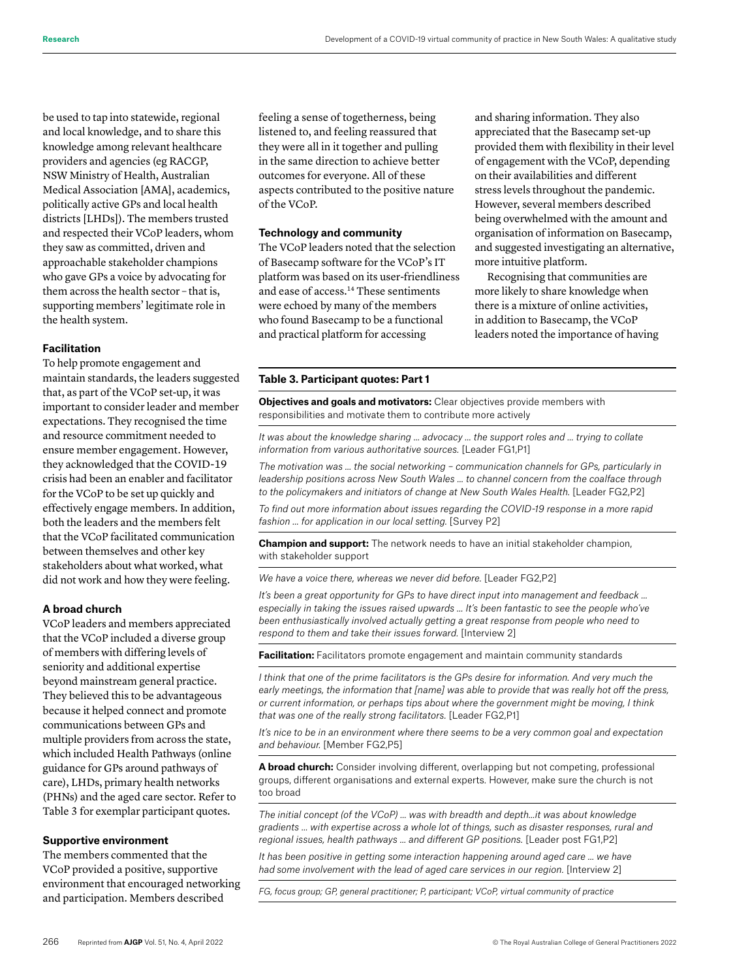be used to tap into statewide, regional and local knowledge, and to share this knowledge among relevant healthcare providers and agencies (eg RACGP, NSW Ministry of Health, Australian Medical Association [AMA], academics, politically active GPs and local health districts [LHDs]). The members trusted and respected their VCoP leaders, whom they saw as committed, driven and approachable stakeholder champions who gave GPs a voice by advocating for them across the health sector – that is, supporting members' legitimate role in the health system.

#### **Facilitation**

To help promote engagement and maintain standards, the leaders suggested that, as part of the VCoP set-up, it was important to consider leader and member expectations. They recognised the time and resource commitment needed to ensure member engagement. However, they acknowledged that the COVID-19 crisis had been an enabler and facilitator for the VCoP to be set up quickly and effectively engage members. In addition, both the leaders and the members felt that the VCoP facilitated communication between themselves and other key stakeholders about what worked, what did not work and how they were feeling.

#### **A broad church**

VCoP leaders and members appreciated that the VCoP included a diverse group of members with differing levels of seniority and additional expertise beyond mainstream general practice. They believed this to be advantageous because it helped connect and promote communications between GPs and multiple providers from across the state, which included Health Pathways (online guidance for GPs around pathways of care), LHDs, primary health networks (PHNs) and the aged care sector. Refer to Table 3 for exemplar participant quotes.

### **Supportive environment**

The members commented that the VCoP provided a positive, supportive environment that encouraged networking and participation. Members described

feeling a sense of togetherness, being listened to, and feeling reassured that they were all in it together and pulling in the same direction to achieve better outcomes for everyone. All of these aspects contributed to the positive nature of the VCoP.

## **Technology and community**

The VCoP leaders noted that the selection of Basecamp software for the VCoP's IT platform was based on its user-friendliness and ease of access.14 These sentiments were echoed by many of the members who found Basecamp to be a functional and practical platform for accessing

and sharing information. They also appreciated that the Basecamp set-up provided them with flexibility in their level of engagement with the VCoP, depending on their availabilities and different stress levels throughout the pandemic. However, several members described being overwhelmed with the amount and organisation of information on Basecamp, and suggested investigating an alternative, more intuitive platform.

Recognising that communities are more likely to share knowledge when there is a mixture of online activities, in addition to Basecamp, the VCoP leaders noted the importance of having

#### **Table 3. Participant quotes: Part 1**

**Objectives and goals and motivators:** Clear objectives provide members with responsibilities and motivate them to contribute more actively

*It was about the knowledge sharing … advocacy … the support roles and … trying to collate information from various authoritative sources.* [Leader FG1,P1]

*The motivation was … the social networking – communication channels for GPs, particularly in leadership positions across New South Wales ... to channel concern from the coalface through to the policymakers and initiators of change at New South Wales Health.* [Leader FG2, P2]

*To find out more information about issues regarding the COVID-19 response in a more rapid fashion … for application in our local setting.* [Survey P2]

**Champion and support:** The network needs to have an initial stakeholder champion, with stakeholder support

*We have a voice there, whereas we never did before.* [Leader FG2,P2]

*It's been a great opportunity for GPs to have direct input into management and feedback … especially in taking the issues raised upwards … It's been fantastic to see the people who've been enthusiastically involved actually getting a great response from people who need to respond to them and take their issues forward.* [Interview 2]

**Facilitation:** Facilitators promote engagement and maintain community standards

*I think that one of the prime facilitators is the GPs desire for information. And very much the early meetings, the information that [name] was able to provide that was really hot off the press, or current information, or perhaps tips about where the government might be moving, I think that was one of the really strong facilitators.* [Leader FG2,P1]

*It's nice to be in an environment where there seems to be a very common goal and expectation and behaviour.* [Member FG2,P5]

**A broad church:** Consider involving different, overlapping but not competing, professional groups, different organisations and external experts. However, make sure the church is not too broad

*The initial concept (of the VCoP) … was with breadth and depth…it was about knowledge gradients … with expertise across a whole lot of things, such as disaster responses, rural and regional issues, health pathways … and different GP positions.* [Leader post FG1,P2]

*It has been positive in getting some interaction happening around aged care ... we have had some involvement with the lead of aged care services in our region.* [Interview 2]

*FG, focus group; GP, general practitioner; P, participant; VCoP, virtual community of practice*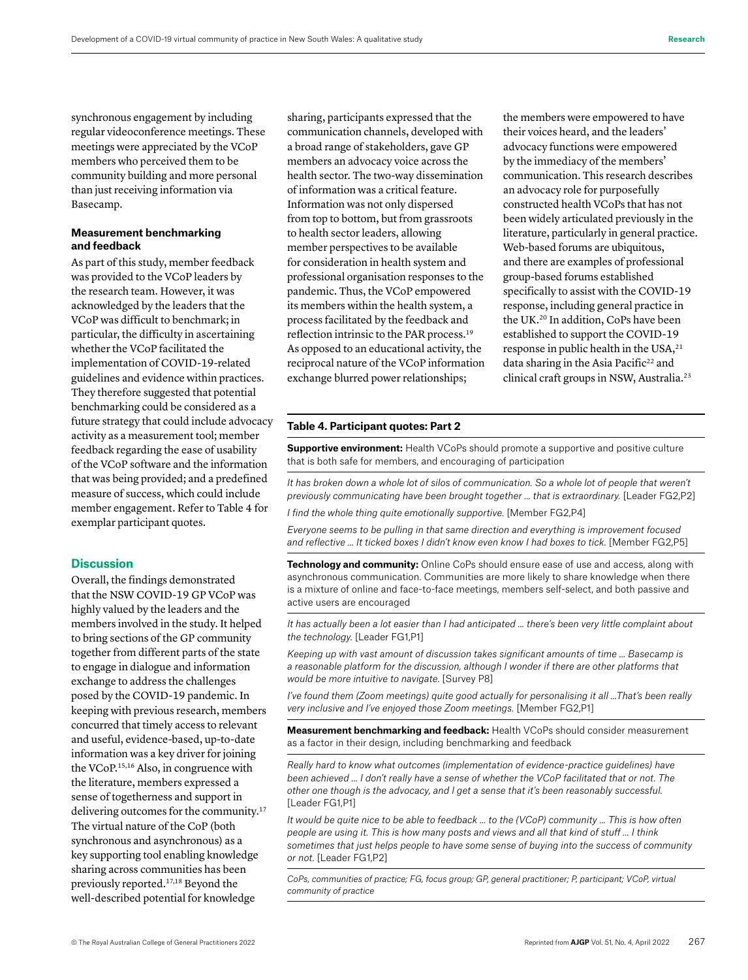synchronous engagement by including regular videoconference meetings. These meetings were appreciated by the VCoP members who perceived them to be community building and more personal than just receiving information via Basecamp.

# **Measurement benchmarking and feedback**

As part of this study, member feedback was provided to the VCoP leaders by the research team. However, it was acknowledged by the leaders that the VCoP was difficult to benchmark; in particular, the difficulty in ascertaining whether the VCoP facilitated the implementation of COVID-19-related guidelines and evidence within practices. They therefore suggested that potential benchmarking could be considered as a future strategy that could include advocacy activity as a measurement tool; member feedback regarding the ease of usability of the VCoP software and the information that was being provided; and a predefined measure of success, which could include member engagement. Refer to Table 4 for exemplar participant quotes.

# **Discussion**

Overall, the findings demonstrated that the NSW COVID-19 GP VCoP was highly valued by the leaders and the members involved in the study. It helped to bring sections of the GP community together from different parts of the state to engage in dialogue and information exchange to address the challenges posed by the COVID-19 pandemic. In keeping with previous research, members concurred that timely access to relevant and useful, evidence-based, up-to-date information was a key driver for joining the VCoP.15,16 Also, in congruence with the literature, members expressed a sense of togetherness and support in delivering outcomes for the community.<sup>17</sup> The virtual nature of the CoP (both synchronous and asynchronous) as a key supporting tool enabling knowledge sharing across communities has been previously reported.17,18 Beyond the well-described potential for knowledge

sharing, participants expressed that the communication channels, developed with a broad range of stakeholders, gave GP members an advocacy voice across the health sector. The two-way dissemination of information was a critical feature. Information was not only dispersed from top to bottom, but from grassroots to health sector leaders, allowing member perspectives to be available for consideration in health system and professional organisation responses to the pandemic. Thus, the VCoP empowered its members within the health system, a process facilitated by the feedback and reflection intrinsic to the PAR process.19 As opposed to an educational activity, the reciprocal nature of the VCoP information exchange blurred power relationships;

the members were empowered to have their voices heard, and the leaders' advocacy functions were empowered by the immediacy of the members' communication. This research describes an advocacy role for purposefully constructed health VCoPs that has not been widely articulated previously in the literature, particularly in general practice. Web-based forums are ubiquitous, and there are examples of professional group-based forums established specifically to assist with the COVID-19 response, including general practice in the UK.20 In addition, CoPs have been established to support the COVID-19 response in public health in the USA,<sup>21</sup> data sharing in the Asia Pacific<sup>22</sup> and clinical craft groups in NSW, Australia.23

#### **Table 4. Participant quotes: Part 2**

**Supportive environment:** Health VCoPs should promote a supportive and positive culture that is both safe for members, and encouraging of participation

It has broken down a whole lot of silos of communication. So a whole lot of people that weren't *previously communicating have been brought together … that is extraordinary.* [Leader FG2,P2]

*I find the whole thing quite emotionally supportive.* [Member FG2,P4]

*Everyone seems to be pulling in that same direction and everything is improvement focused*  and reflective ... It ticked boxes I didn't know even know I had boxes to tick. [Member FG2,P5]

**Technology and community:** Online CoPs should ensure ease of use and access, along with asynchronous communication. Communities are more likely to share knowledge when there is a mixture of online and face-to-face meetings, members self-select, and both passive and active users are encouraged

*It has actually been a lot easier than I had anticipated … there's been very little complaint about the technology.* [Leader FG1,P1]

*Keeping up with vast amount of discussion takes significant amounts of time … Basecamp is a reasonable platform for the discussion, although I wonder if there are other platforms that would be more intuitive to navigate.* [Survey P8]

*I've found them (Zoom meetings) quite good actually for personalising it all …That's been really very inclusive and I've enjoyed those Zoom meetings.* [Member FG2,P1]

**Measurement benchmarking and feedback:** Health VCoPs should consider measurement as a factor in their design, including benchmarking and feedback

*Really hard to know what outcomes (implementation of evidence-practice guidelines) have been achieved … I don't really have a sense of whether the VCoP facilitated that or not. The other one though is the advocacy, and I get a sense that it's been reasonably successful.*  [Leader FG1,P1]

*It would be quite nice to be able to feedback … to the (VCoP) community … This is how often people are using it. This is how many posts and views and all that kind of stuff … I think sometimes that just helps people to have some sense of buying into the success of community or not.* [Leader FG1,P2]

*CoPs, communities of practice; FG, focus group; GP, general practitioner; P, participant; VCoP, virtual community of practice*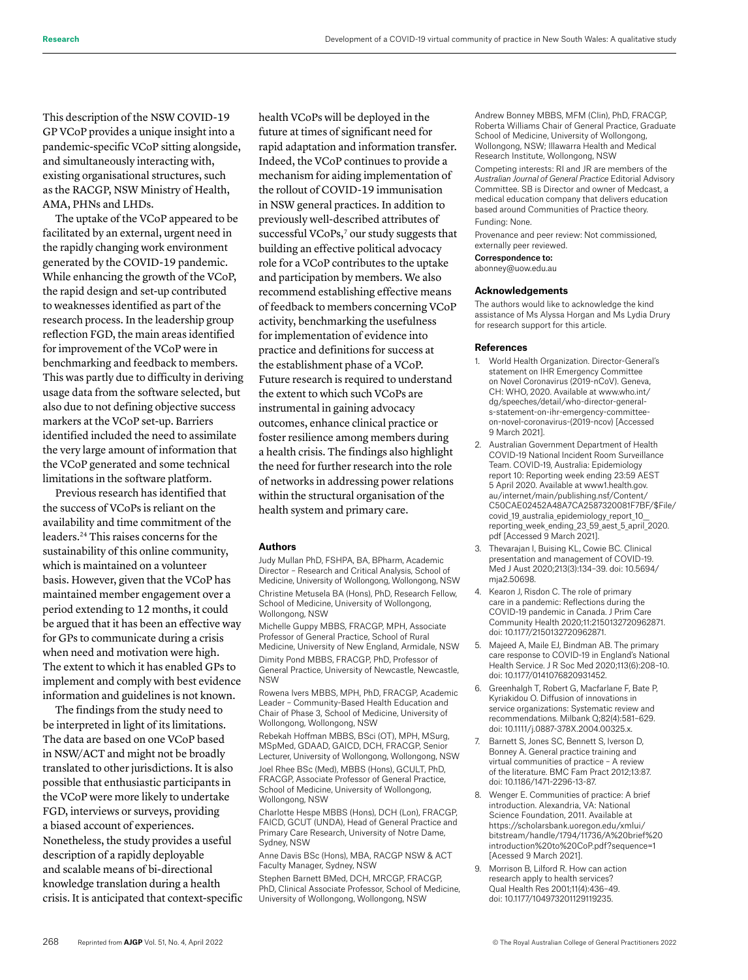This description of the NSW COVID-19 GP VCoP provides a unique insight into a pandemic-specific VCoP sitting alongside, and simultaneously interacting with, existing organisational structures, such as the RACGP, NSW Ministry of Health, AMA, PHNs and LHDs.

The uptake of the VCoP appeared to be facilitated by an external, urgent need in the rapidly changing work environment generated by the COVID-19 pandemic. While enhancing the growth of the VCoP, the rapid design and set-up contributed to weaknesses identified as part of the research process. In the leadership group reflection FGD, the main areas identified for improvement of the VCoP were in benchmarking and feedback to members. This was partly due to difficulty in deriving usage data from the software selected, but also due to not defining objective success markers at the VCoP set-up. Barriers identified included the need to assimilate the very large amount of information that the VCoP generated and some technical limitations in the software platform.

Previous research has identified that the success of VCoPs is reliant on the availability and time commitment of the leaders.24 This raises concerns for the sustainability of this online community, which is maintained on a volunteer basis. However, given that the VCoP has maintained member engagement over a period extending to 12 months, it could be argued that it has been an effective way for GPs to communicate during a crisis when need and motivation were high. The extent to which it has enabled GPs to implement and comply with best evidence information and guidelines is not known.

The findings from the study need to be interpreted in light of its limitations. The data are based on one VCoP based in NSW/ACT and might not be broadly translated to other jurisdictions. It is also possible that enthusiastic participants in the VCoP were more likely to undertake FGD, interviews or surveys, providing a biased account of experiences. Nonetheless, the study provides a useful description of a rapidly deployable and scalable means of bi-directional knowledge translation during a health crisis. It is anticipated that context-specific health VCoPs will be deployed in the future at times of significant need for rapid adaptation and information transfer. Indeed, the VCoP continues to provide a mechanism for aiding implementation of the rollout of COVID-19 immunisation in NSW general practices. In addition to previously well-described attributes of successful VCoPs,<sup>7</sup> our study suggests that building an effective political advocacy role for a VCoP contributes to the uptake and participation by members. We also recommend establishing effective means of feedback to members concerning VCoP activity, benchmarking the usefulness for implementation of evidence into practice and definitions for success at the establishment phase of a VCoP. Future research is required to understand the extent to which such VCoPs are instrumental in gaining advocacy outcomes, enhance clinical practice or foster resilience among members during a health crisis. The findings also highlight the need for further research into the role of networks in addressing power relations within the structural organisation of the health system and primary care.

#### **Authors**

Judy Mullan PhD, FSHPA, BA, BPharm, Academic Director – Research and Critical Analysis, School of Medicine, University of Wollongong, Wollongong, NSW Christine Metusela BA (Hons), PhD, Research Fellow, School of Medicine, University of Wollongong, Wollongong, NSW

Michelle Guppy MBBS, FRACGP, MPH, Associate Professor of General Practice, School of Rural Medicine, University of New England, Armidale, NSW Dimity Pond MBBS, FRACGP, PhD, Professor of General Practice, University of Newcastle, Newcastle, NSW

Rowena Ivers MBBS, MPH, PhD, FRACGP, Academic Leader – Community-Based Health Education and Chair of Phase 3, School of Medicine, University of Wollongong, Wollongong, NSW

Rebekah Hoffman MBBS, BSci (OT), MPH, MSurg, MSpMed, GDAAD, GAICD, DCH, FRACGP, Senior Lecturer, University of Wollongong, Wollongong, NSW Joel Rhee BSc (Med), MBBS (Hons), GCULT, PhD,

FRACGP, Associate Professor of General Practice, School of Medicine, University of Wollongong, Wollongong, NSW

Charlotte Hespe MBBS (Hons), DCH (Lon), FRACGP, FAICD, GCUT (UNDA), Head of General Practice and Primary Care Research, University of Notre Dame, Sydney, NSW

Anne Davis BSc (Hons), MBA, RACGP NSW & ACT Faculty Manager, Sydney, NSW

Stephen Barnett BMed, DCH, MRCGP, FRACGP, PhD, Clinical Associate Professor, School of Medicine, University of Wollongong, Wollongong, NSW

Andrew Bonney MBBS, MFM (Clin), PhD, FRACGP, Roberta Williams Chair of General Practice, Graduate School of Medicine, University of Wollongong, Wollongong, NSW; Illawarra Health and Medical Research Institute, Wollongong, NSW

Competing interests: RI and JR are members of the *Australian Journal of General Practice* Editorial Advisory Committee. SB is Director and owner of Medcast, a medical education company that delivers education based around Communities of Practice theory. Funding: None.

Provenance and peer review: Not commissioned, externally peer reviewed.

Correspondence to:

abonney@uow.edu.au

#### **Acknowledgements**

The authors would like to acknowledge the kind assistance of Ms Alyssa Horgan and Ms Lydia Drury for research support for this article.

#### **References**

- 1. World Health Organization. Director-General's statement on IHR Emergency Committee on Novel Coronavirus (2019-nCoV). Geneva, CH: WHO, 2020. Available at www.who.int/ dg/speeches/detail/who-director-generals-statement-on-ihr-emergency-committeeon-novel-coronavirus-(2019-ncov) [Accessed 9 March 2021].
- 2. Australian Government Department of Health COVID-19 National Incident Room Surveillance Team. COVID-19, Australia: Epidemiology report 10: Reporting week ending 23:59 AEST 5 April 2020. Available at www1.health.gov. au/internet/main/publishing.nsf/Content/ C50CAE02452A48A7CA2587320081F7BF/\$File/ covid 19 australia epidemiology report 10 reporting\_week\_ending\_23\_59\_aest\_5\_april\_2020. pdf [Accessed 9 March 2021].
- 3. Thevarajan I, Buising KL, Cowie BC. Clinical presentation and management of COVID-19. Med J Aust 2020;213(3):134–39. doi: 10.5694/ mja2.50698.
- 4. Kearon J, Risdon C. The role of primary care in a pandemic: Reflections during the COVID-19 pandemic in Canada. J Prim Care Community Health 2020;11:2150132720962871. doi: 10.1177/2150132720962871.
- 5. Majeed A, Maile EJ, Bindman AB. The primary care response to COVID-19 in England's National Health Service. J R Soc Med 2020;113(6):208–10. doi: 10.1177/0141076820931452.
- 6. Greenhalgh T, Robert G, Macfarlane F, Bate P, Kyriakidou O. Diffusion of innovations in service organizations: Systematic review and recommendations. Milbank Q;82(4):581–629. doi: 10.1111/j.0887-378X.2004.00325.x.
- 7. Barnett S, Jones SC, Bennett S, Iverson D, Bonney A. General practice training and virtual communities of practice – A review of the literature. BMC Fam Pract 2012;13:87. doi: 10.1186/1471-2296-13-87.
- 8. Wenger E. Communities of practice: A brief introduction. Alexandria, VA: National Science Foundation, 2011. Available at https://scholarsbank.uoregon.edu/xmlui/ bitstream/handle/1794/11736/A%20brief%20 introduction%20to%20CoP.pdf?sequence=1 [Acessed 9 March 2021].
- 9. Morrison B, Lilford R. How can action research apply to health services? Qual Health Res 2001;11(4):436–49. doi: 10.1177/104973201129119235.